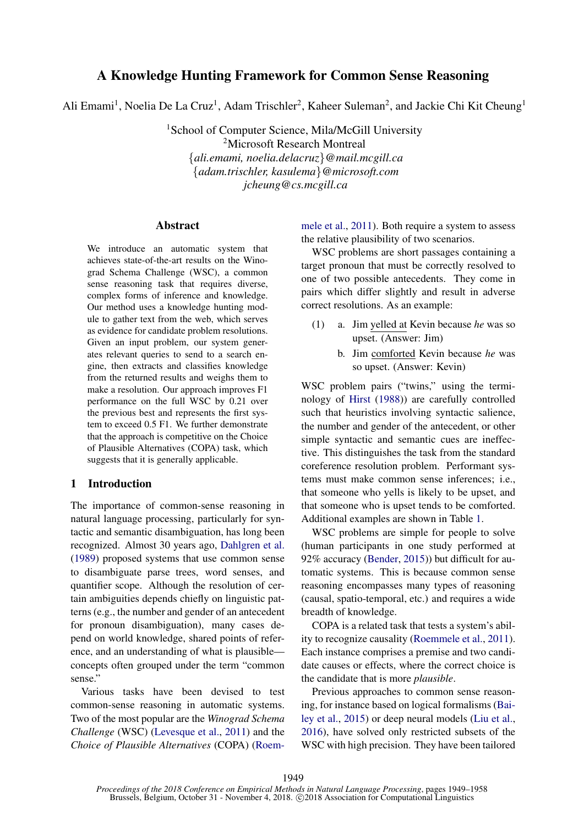# A Knowledge Hunting Framework for Common Sense Reasoning

Ali Emami<sup>1</sup>, Noelia De La Cruz<sup>1</sup>, Adam Trischler<sup>2</sup>, Kaheer Suleman<sup>2</sup>, and Jackie Chi Kit Cheung<sup>1</sup>

<sup>1</sup>School of Computer Science, Mila/McGill University <sup>2</sup>Microsoft Research Montreal {*ali.emami, noelia.delacruz*}*@mail.mcgill.ca* {*adam.trischler, kasulema*}*@microsoft.com jcheung@cs.mcgill.ca*

#### Abstract

We introduce an automatic system that achieves state-of-the-art results on the Winograd Schema Challenge (WSC), a common sense reasoning task that requires diverse, complex forms of inference and knowledge. Our method uses a knowledge hunting module to gather text from the web, which serves as evidence for candidate problem resolutions. Given an input problem, our system generates relevant queries to send to a search engine, then extracts and classifies knowledge from the returned results and weighs them to make a resolution. Our approach improves F1 performance on the full WSC by 0.21 over the previous best and represents the first system to exceed 0.5 F1. We further demonstrate that the approach is competitive on the Choice of Plausible Alternatives (COPA) task, which suggests that it is generally applicable.

#### 1 Introduction

The importance of common-sense reasoning in natural language processing, particularly for syntactic and semantic disambiguation, has long been recognized. Almost 30 years ago, [Dahlgren et al.](#page-8-0) [\(1989\)](#page-8-0) proposed systems that use common sense to disambiguate parse trees, word senses, and quantifier scope. Although the resolution of certain ambiguities depends chiefly on linguistic patterns (e.g., the number and gender of an antecedent for pronoun disambiguation), many cases depend on world knowledge, shared points of reference, and an understanding of what is plausible concepts often grouped under the term "common sense."

Various tasks have been devised to test common-sense reasoning in automatic systems. Two of the most popular are the *Winograd Schema Challenge* (WSC) [\(Levesque et al.,](#page-8-1) [2011\)](#page-8-1) and the *Choice of Plausible Alternatives* (COPA) [\(Roem-](#page-9-0) [mele et al.,](#page-9-0) [2011\)](#page-9-0). Both require a system to assess the relative plausibility of two scenarios.

WSC problems are short passages containing a target pronoun that must be correctly resolved to one of two possible antecedents. They come in pairs which differ slightly and result in adverse correct resolutions. As an example:

- <span id="page-0-0"></span>(1) a. Jim yelled at Kevin because *he* was so upset. (Answer: Jim)
	- b. Jim comforted Kevin because *he* was so upset. (Answer: Kevin)

WSC problem pairs ("twins," using the terminology of [Hirst](#page-8-2) [\(1988\)](#page-8-2)) are carefully controlled such that heuristics involving syntactic salience, the number and gender of the antecedent, or other simple syntactic and semantic cues are ineffective. This distinguishes the task from the standard coreference resolution problem. Performant systems must make common sense inferences; i.e., that someone who yells is likely to be upset, and that someone who is upset tends to be comforted. Additional examples are shown in Table [1.](#page-1-0)

WSC problems are simple for people to solve (human participants in one study performed at 92% accuracy [\(Bender,](#page-8-3) [2015\)](#page-8-3)) but difficult for automatic systems. This is because common sense reasoning encompasses many types of reasoning (causal, spatio-temporal, etc.) and requires a wide breadth of knowledge.

COPA is a related task that tests a system's ability to recognize causality [\(Roemmele et al.,](#page-9-0) [2011\)](#page-9-0). Each instance comprises a premise and two candidate causes or effects, where the correct choice is the candidate that is more *plausible*.

Previous approaches to common sense reasoning, for instance based on logical formalisms [\(Bai](#page-8-4)[ley et al.,](#page-8-4) [2015\)](#page-8-4) or deep neural models [\(Liu et al.,](#page-8-5) [2016\)](#page-8-5), have solved only restricted subsets of the WSC with high precision. They have been tailored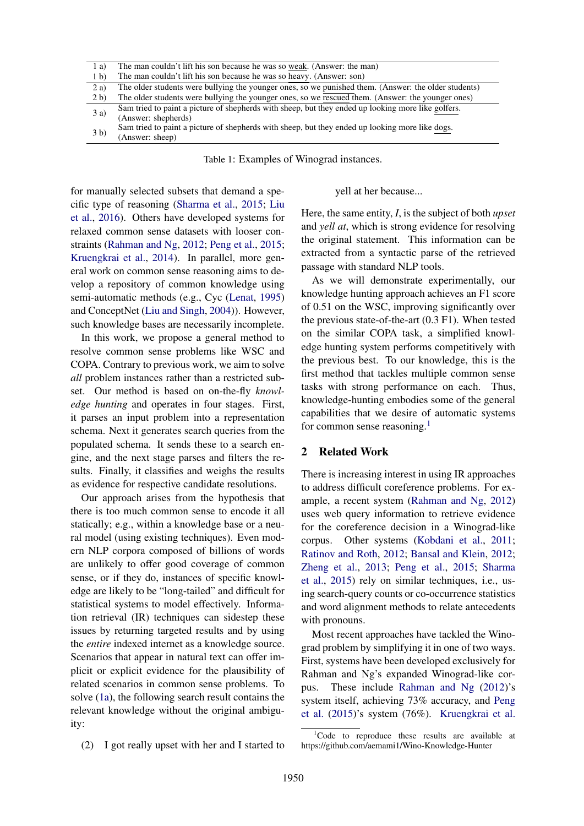<span id="page-1-0"></span>

| 1 a)           | The man couldn't lift his son because he was so weak. (Answer: the man)                              |
|----------------|------------------------------------------------------------------------------------------------------|
| 1 <sub>b</sub> | The man couldn't lift his son because he was so heavy. (Answer: son)                                 |
| 2a)            | The older students were bullying the younger ones, so we punished them. (Answer: the older students) |
| 2 <sub>b</sub> | The older students were bullying the younger ones, so we rescued them. (Answer: the younger ones)    |
| 3 a)           | Sam tried to paint a picture of shepherds with sheep, but they ended up looking more like golfers.   |
|                | (Answer: shepherds)                                                                                  |
| 3 <sub>b</sub> | Sam tried to paint a picture of shepherds with sheep, but they ended up looking more like dogs.      |
|                | (Answer: sheep)                                                                                      |

Table 1: Examples of Winograd instances.

for manually selected subsets that demand a specific type of reasoning [\(Sharma et al.,](#page-9-1) [2015;](#page-9-1) [Liu](#page-8-5) [et al.,](#page-8-5) [2016\)](#page-8-5). Others have developed systems for relaxed common sense datasets with looser constraints [\(Rahman and Ng,](#page-9-2) [2012;](#page-9-2) [Peng et al.,](#page-9-3) [2015;](#page-9-3) [Kruengkrai et al.,](#page-8-6) [2014\)](#page-8-6). In parallel, more general work on common sense reasoning aims to develop a repository of common knowledge using semi-automatic methods (e.g., Cyc [\(Lenat,](#page-8-7) [1995\)](#page-8-7) and ConceptNet [\(Liu and Singh,](#page-8-8) [2004\)](#page-8-8)). However, such knowledge bases are necessarily incomplete.

In this work, we propose a general method to resolve common sense problems like WSC and COPA. Contrary to previous work, we aim to solve *all* problem instances rather than a restricted subset. Our method is based on on-the-fly *knowledge hunting* and operates in four stages. First, it parses an input problem into a representation schema. Next it generates search queries from the populated schema. It sends these to a search engine, and the next stage parses and filters the results. Finally, it classifies and weighs the results as evidence for respective candidate resolutions.

Our approach arises from the hypothesis that there is too much common sense to encode it all statically; e.g., within a knowledge base or a neural model (using existing techniques). Even modern NLP corpora composed of billions of words are unlikely to offer good coverage of common sense, or if they do, instances of specific knowledge are likely to be "long-tailed" and difficult for statistical systems to model effectively. Information retrieval (IR) techniques can sidestep these issues by returning targeted results and by using the *entire* indexed internet as a knowledge source. Scenarios that appear in natural text can offer implicit or explicit evidence for the plausibility of related scenarios in common sense problems. To solve [\(1a\)](#page-0-0), the following search result contains the relevant knowledge without the original ambiguity:

(2) I got really upset with her and I started to

yell at her because...

Here, the same entity, *I*, is the subject of both *upset* and *yell at*, which is strong evidence for resolving the original statement. This information can be extracted from a syntactic parse of the retrieved passage with standard NLP tools.

As we will demonstrate experimentally, our knowledge hunting approach achieves an F1 score of 0.51 on the WSC, improving significantly over the previous state-of-the-art (0.3 F1). When tested on the similar COPA task, a simplified knowledge hunting system performs competitively with the previous best. To our knowledge, this is the first method that tackles multiple common sense tasks with strong performance on each. Thus, knowledge-hunting embodies some of the general capabilities that we desire of automatic systems for common sense reasoning.<sup>[1](#page-1-1)</sup>

#### 2 Related Work

There is increasing interest in using IR approaches to address difficult coreference problems. For example, a recent system [\(Rahman and Ng,](#page-9-2) [2012\)](#page-9-2) uses web query information to retrieve evidence for the coreference decision in a Winograd-like corpus. Other systems [\(Kobdani et al.,](#page-8-9) [2011;](#page-8-9) [Ratinov and Roth,](#page-9-4) [2012;](#page-9-4) [Bansal and Klein,](#page-8-10) [2012;](#page-8-10) [Zheng et al.,](#page-9-5) [2013;](#page-9-5) [Peng et al.,](#page-9-3) [2015;](#page-9-3) [Sharma](#page-9-1) [et al.,](#page-9-1) [2015\)](#page-9-1) rely on similar techniques, i.e., using search-query counts or co-occurrence statistics and word alignment methods to relate antecedents with pronouns.

Most recent approaches have tackled the Winograd problem by simplifying it in one of two ways. First, systems have been developed exclusively for Rahman and Ng's expanded Winograd-like corpus. These include [Rahman and Ng](#page-9-2) [\(2012\)](#page-9-2)'s system itself, achieving 73% accuracy, and [Peng](#page-9-3) [et al.](#page-9-3) [\(2015\)](#page-9-3)'s system (76%). [Kruengkrai et al.](#page-8-6)

<span id="page-1-1"></span> $1^1$ Code to reproduce these results are available at https://github.com/aemami1/Wino-Knowledge-Hunter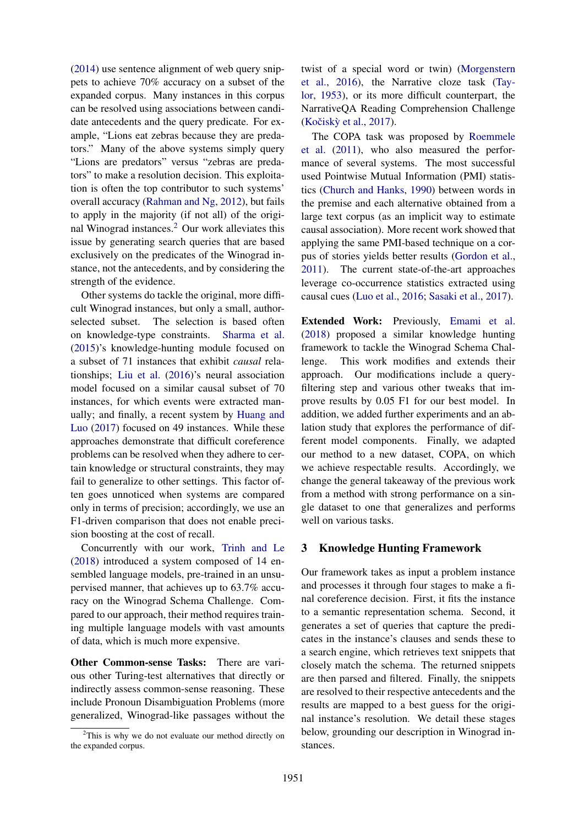[\(2014\)](#page-8-6) use sentence alignment of web query snippets to achieve 70% accuracy on a subset of the expanded corpus. Many instances in this corpus can be resolved using associations between candidate antecedents and the query predicate. For example, "Lions eat zebras because they are predators." Many of the above systems simply query "Lions are predators" versus "zebras are predators" to make a resolution decision. This exploitation is often the top contributor to such systems' overall accuracy [\(Rahman and Ng,](#page-9-2) [2012\)](#page-9-2), but fails to apply in the majority (if not all) of the original Winograd instances.[2](#page-2-0) Our work alleviates this issue by generating search queries that are based exclusively on the predicates of the Winograd instance, not the antecedents, and by considering the strength of the evidence.

Other systems do tackle the original, more difficult Winograd instances, but only a small, authorselected subset. The selection is based often on knowledge-type constraints. [Sharma et al.](#page-9-1) [\(2015\)](#page-9-1)'s knowledge-hunting module focused on a subset of 71 instances that exhibit *causal* relationships; [Liu et al.](#page-8-5) [\(2016\)](#page-8-5)'s neural association model focused on a similar causal subset of 70 instances, for which events were extracted manually; and finally, a recent system by [Huang and](#page-8-11) [Luo](#page-8-11) [\(2017\)](#page-8-11) focused on 49 instances. While these approaches demonstrate that difficult coreference problems can be resolved when they adhere to certain knowledge or structural constraints, they may fail to generalize to other settings. This factor often goes unnoticed when systems are compared only in terms of precision; accordingly, we use an F1-driven comparison that does not enable precision boosting at the cost of recall.

Concurrently with our work, [Trinh and Le](#page-9-6) [\(2018\)](#page-9-6) introduced a system composed of 14 ensembled language models, pre-trained in an unsupervised manner, that achieves up to 63.7% accuracy on the Winograd Schema Challenge. Compared to our approach, their method requires training multiple language models with vast amounts of data, which is much more expensive.

Other Common-sense Tasks: There are various other Turing-test alternatives that directly or indirectly assess common-sense reasoning. These include Pronoun Disambiguation Problems (more generalized, Winograd-like passages without the twist of a special word or twin) [\(Morgenstern](#page-9-7) [et al.,](#page-9-7) [2016\)](#page-9-7), the Narrative cloze task [\(Tay](#page-9-8)[lor,](#page-9-8) [1953\)](#page-9-8), or its more difficult counterpart, the NarrativeQA Reading Comprehension Challenge (Kočiskỳ et al., [2017\)](#page-8-12).

The COPA task was proposed by [Roemmele](#page-9-0) [et al.](#page-9-0) [\(2011\)](#page-9-0), who also measured the performance of several systems. The most successful used Pointwise Mutual Information (PMI) statistics [\(Church and Hanks,](#page-8-13) [1990\)](#page-8-13) between words in the premise and each alternative obtained from a large text corpus (as an implicit way to estimate causal association). More recent work showed that applying the same PMI-based technique on a corpus of stories yields better results [\(Gordon et al.,](#page-8-14) [2011\)](#page-8-14). The current state-of-the-art approaches leverage co-occurrence statistics extracted using causal cues [\(Luo et al.,](#page-9-9) [2016;](#page-9-9) [Sasaki et al.,](#page-9-10) [2017\)](#page-9-10).

Extended Work: Previously, [Emami et al.](#page-8-15) [\(2018\)](#page-8-15) proposed a similar knowledge hunting framework to tackle the Winograd Schema Challenge. This work modifies and extends their approach. Our modifications include a queryfiltering step and various other tweaks that improve results by 0.05 F1 for our best model. In addition, we added further experiments and an ablation study that explores the performance of different model components. Finally, we adapted our method to a new dataset, COPA, on which we achieve respectable results. Accordingly, we change the general takeaway of the previous work from a method with strong performance on a single dataset to one that generalizes and performs well on various tasks.

## 3 Knowledge Hunting Framework

Our framework takes as input a problem instance and processes it through four stages to make a final coreference decision. First, it fits the instance to a semantic representation schema. Second, it generates a set of queries that capture the predicates in the instance's clauses and sends these to a search engine, which retrieves text snippets that closely match the schema. The returned snippets are then parsed and filtered. Finally, the snippets are resolved to their respective antecedents and the results are mapped to a best guess for the original instance's resolution. We detail these stages below, grounding our description in Winograd instances.

<span id="page-2-0"></span> $2$ This is why we do not evaluate our method directly on the expanded corpus.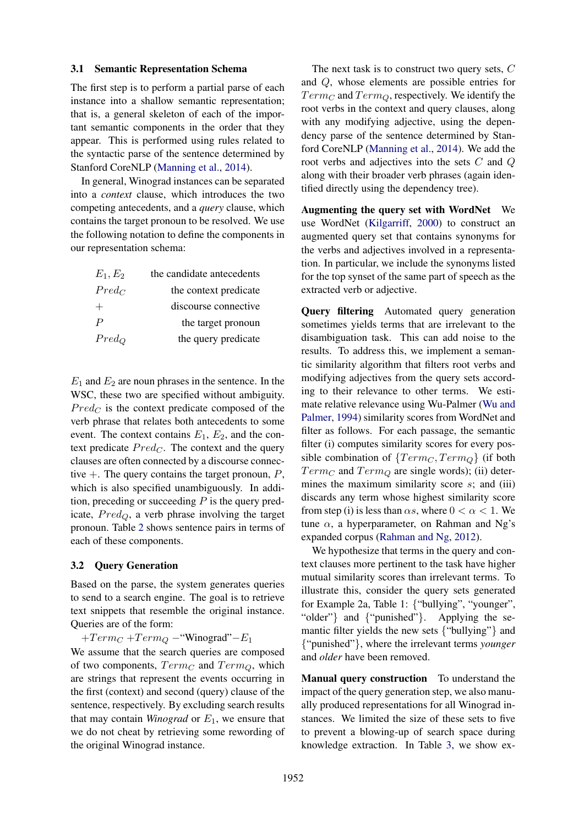#### 3.1 Semantic Representation Schema

The first step is to perform a partial parse of each instance into a shallow semantic representation; that is, a general skeleton of each of the important semantic components in the order that they appear. This is performed using rules related to the syntactic parse of the sentence determined by Stanford CoreNLP [\(Manning et al.,](#page-9-11) [2014\)](#page-9-11).

In general, Winograd instances can be separated into a *context* clause, which introduces the two competing antecedents, and a *query* clause, which contains the target pronoun to be resolved. We use the following notation to define the components in our representation schema:

| $E_1, E_2$       | the candidate antecedents |
|------------------|---------------------------|
| $Pred_C$         | the context predicate     |
| $^{+}$           | discourse connective      |
| $\boldsymbol{P}$ | the target pronoun        |
| $Pred_Q$         | the query predicate       |

 $E_1$  and  $E_2$  are noun phrases in the sentence. In the WSC, these two are specified without ambiguity.  $Pred_C$  is the context predicate composed of the verb phrase that relates both antecedents to some event. The context contains  $E_1$ ,  $E_2$ , and the context predicate  $Pred_C$ . The context and the query clauses are often connected by a discourse connective  $+$ . The query contains the target pronoun, P, which is also specified unambiguously. In addition, preceding or succeeding  $P$  is the query predicate,  $Pred_{Q}$ , a verb phrase involving the target pronoun. Table [2](#page-4-0) shows sentence pairs in terms of each of these components.

#### 3.2 Query Generation

Based on the parse, the system generates queries to send to a search engine. The goal is to retrieve text snippets that resemble the original instance. Queries are of the form:

 $+Term_C +Term_O - "Winograd" - E_1$ 

We assume that the search queries are composed of two components,  $Term_C$  and  $Term_O$ , which are strings that represent the events occurring in the first (context) and second (query) clause of the sentence, respectively. By excluding search results that may contain *Winograd* or  $E_1$ , we ensure that we do not cheat by retrieving some rewording of the original Winograd instance.

The next task is to construct two query sets, C and Q, whose elements are possible entries for  $Term_C$  and  $Term_O$ , respectively. We identify the root verbs in the context and query clauses, along with any modifying adjective, using the dependency parse of the sentence determined by Stanford CoreNLP [\(Manning et al.,](#page-9-11) [2014\)](#page-9-11). We add the root verbs and adjectives into the sets C and Q along with their broader verb phrases (again identified directly using the dependency tree).

Augmenting the query set with WordNet We use WordNet [\(Kilgarriff,](#page-8-16) [2000\)](#page-8-16) to construct an augmented query set that contains synonyms for the verbs and adjectives involved in a representation. In particular, we include the synonyms listed for the top synset of the same part of speech as the extracted verb or adjective.

Query filtering Automated query generation sometimes yields terms that are irrelevant to the disambiguation task. This can add noise to the results. To address this, we implement a semantic similarity algorithm that filters root verbs and modifying adjectives from the query sets according to their relevance to other terms. We estimate relative relevance using Wu-Palmer [\(Wu and](#page-9-12) [Palmer,](#page-9-12) [1994\)](#page-9-12) similarity scores from WordNet and filter as follows. For each passage, the semantic filter (i) computes similarity scores for every possible combination of  ${Term_C, Term_Q}$  (if both  $Term_C$  and  $Term_Q$  are single words); (ii) determines the maximum similarity score  $s$ ; and (iii) discards any term whose highest similarity score from step (i) is less than  $\alpha s$ , where  $0 < \alpha < 1$ . We tune  $\alpha$ , a hyperparameter, on Rahman and Ng's expanded corpus [\(Rahman and Ng,](#page-9-2) [2012\)](#page-9-2).

We hypothesize that terms in the query and context clauses more pertinent to the task have higher mutual similarity scores than irrelevant terms. To illustrate this, consider the query sets generated for Example 2a, Table 1: {"bullying", "younger", "older"} and {"punished"}. Applying the semantic filter yields the new sets {"bullying"} and {"punished"}, where the irrelevant terms *younger* and *older* have been removed.

Manual query construction To understand the impact of the query generation step, we also manually produced representations for all Winograd instances. We limited the size of these sets to five to prevent a blowing-up of search space during knowledge extraction. In Table [3,](#page-4-1) we show ex-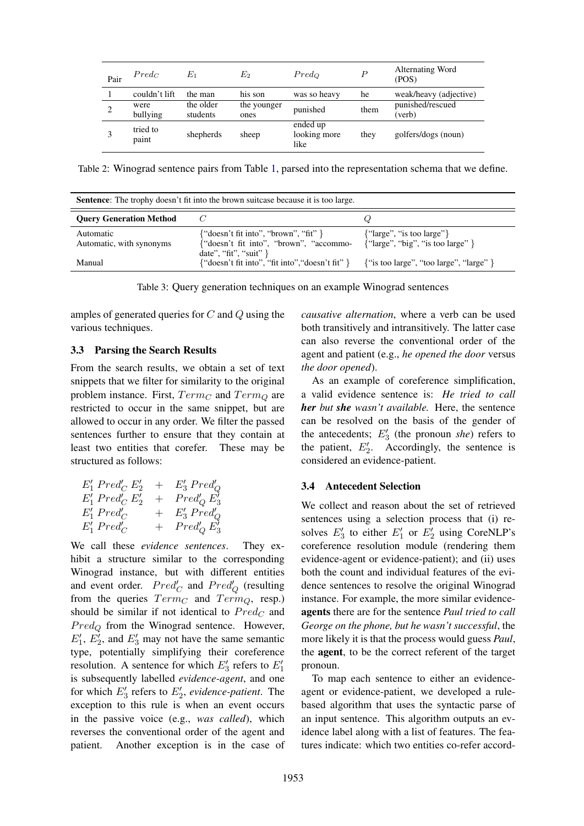<span id="page-4-0"></span>

| Pair | $Pred_C$          | $E_1$                 | $\scriptstyle E_2$  | $Pred_{O}$                       | $\boldsymbol{P}$ | Alternating Word<br>(POS)  |
|------|-------------------|-----------------------|---------------------|----------------------------------|------------------|----------------------------|
|      | couldn't lift     | the man               | his son             | was so heavy                     | he               | weak/heavy (adjective)     |
| 2    | were<br>bullying  | the older<br>students | the younger<br>ones | punished                         | them             | punished/rescued<br>(verb) |
|      | tried to<br>paint | shepherds             | sheep               | ended up<br>looking more<br>like | they             | golfers/dogs (noun)        |

Table 2: Winograd sentence pairs from Table [1,](#page-1-0) parsed into the representation schema that we define.

<span id="page-4-1"></span>

| <b>Sentence:</b> The trophy doesn't fit into the brown suitcase because it is too large. |                                                                                                                                                                                  |                                                                     |  |  |
|------------------------------------------------------------------------------------------|----------------------------------------------------------------------------------------------------------------------------------------------------------------------------------|---------------------------------------------------------------------|--|--|
| <b>Ouery Generation Method</b>                                                           |                                                                                                                                                                                  |                                                                     |  |  |
| Automatic<br>Automatic, with synonyms                                                    | $\{``doesn't fit into'', "brown", "fit" \}$<br>{"doesn't fit into", "brown", "accommo-                                                                                           | {"large", "is too large"}<br>${``large''}, "big", "is too large" }$ |  |  |
| Manual                                                                                   | date", "fit", "suit" }<br>$\{\text{``doesn't fit into'',\text{``fit into''},\text{``doesn't fit'' }\} \qquad \{\text{``is too large''},\text{``too large''},\text{``large'' }\}$ |                                                                     |  |  |

Table 3: Query generation techniques on an example Winograd sentences

amples of generated queries for C and Q using the various techniques.

#### 3.3 Parsing the Search Results

From the search results, we obtain a set of text snippets that we filter for similarity to the original problem instance. First,  $Term_C$  and  $Term_O$  are restricted to occur in the same snippet, but are allowed to occur in any order. We filter the passed sentences further to ensure that they contain at least two entities that corefer. These may be structured as follows:

| $E'_1$ Pred <sub>C</sub> $E'_2$              |     | $+ E'_3 \text{ Pred}'_O$ |
|----------------------------------------------|-----|--------------------------|
| $E'_1$ Pred <sub><math>C</math></sub> $E'_2$ | $+$ | $Pred'_{O} E'_{3}$       |
| $E'_1 \, Pred'_C$                            | $+$ | $E_3'$ Pred <sub>Q</sub> |
| $E'_1$ Pred <sub>C</sub>                     | $+$ | $Pred'_{O} E'_{3}$       |

We call these *evidence sentences*. They exhibit a structure similar to the corresponding Winograd instance, but with different entities and event order.  $Pred'_{C}$  and  $Pred'_{Q}$  (resulting from the queries  $Term_C$  and  $Term_Q$ , resp.) should be similar if not identical to  $Pred_C$  and  $Pred_{\mathcal{Q}}$  from the Winograd sentence. However,  $E'_1$ ,  $E'_2$ , and  $E'_3$  may not have the same semantic type, potentially simplifying their coreference resolution. A sentence for which  $E'_3$  refers to  $E'_1$ is subsequently labelled *evidence-agent*, and one for which  $E_3'$  refers to  $E_2'$ , *evidence-patient*. The exception to this rule is when an event occurs in the passive voice (e.g., *was called*), which reverses the conventional order of the agent and patient. Another exception is in the case of *causative alternation*, where a verb can be used both transitively and intransitively. The latter case can also reverse the conventional order of the agent and patient (e.g., *he opened the door* versus *the door opened*).

As an example of coreference simplification, a valid evidence sentence is: *He tried to call her but she wasn't available.* Here, the sentence can be resolved on the basis of the gender of the antecedents;  $E_3'$  (the pronoun *she*) refers to the patient,  $E'_2$ . Accordingly, the sentence is considered an evidence-patient.

#### 3.4 Antecedent Selection

We collect and reason about the set of retrieved sentences using a selection process that (i) resolves  $E'_3$  to either  $E'_1$  or  $E'_2$  using CoreNLP's coreference resolution module (rendering them evidence-agent or evidence-patient); and (ii) uses both the count and individual features of the evidence sentences to resolve the original Winograd instance. For example, the more similar evidenceagents there are for the sentence *Paul tried to call George on the phone, but he wasn't successful*, the more likely it is that the process would guess *Paul*, the agent, to be the correct referent of the target pronoun.

To map each sentence to either an evidenceagent or evidence-patient, we developed a rulebased algorithm that uses the syntactic parse of an input sentence. This algorithm outputs an evidence label along with a list of features. The features indicate: which two entities co-refer accord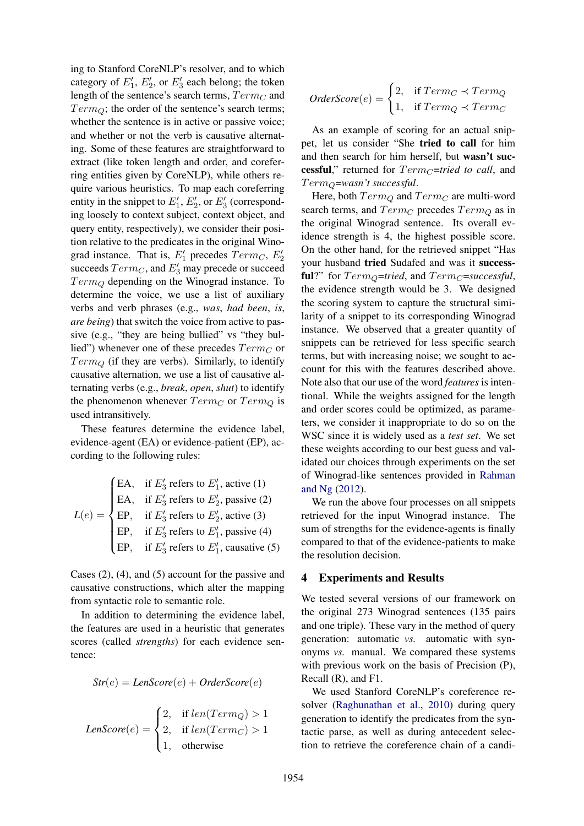ing to Stanford CoreNLP's resolver, and to which category of  $E'_1$ ,  $E'_2$ , or  $E'_3$  each belong; the token length of the sentence's search terms,  $Term_C$  and  $Term_O$ ; the order of the sentence's search terms; whether the sentence is in active or passive voice; and whether or not the verb is causative alternating. Some of these features are straightforward to extract (like token length and order, and coreferring entities given by CoreNLP), while others require various heuristics. To map each coreferring entity in the snippet to  $E'_1$ ,  $E'_2$ , or  $E'_3$  (corresponding loosely to context subject, context object, and query entity, respectively), we consider their position relative to the predicates in the original Winograd instance. That is,  $E'_1$  precedes  $Term_C$ ,  $E'_2$ succeeds  $Term_C$ , and  $E'_3$  may precede or succeed  $Term_Q$  depending on the Winograd instance. To determine the voice, we use a list of auxiliary verbs and verb phrases (e.g., *was*, *had been*, *is*, *are being*) that switch the voice from active to passive (e.g., "they are being bullied" vs "they bullied") whenever one of these precedes  $Term_C$  or  $Term_O$  (if they are verbs). Similarly, to identify causative alternation, we use a list of causative alternating verbs (e.g., *break*, *open*, *shut*) to identify the phenomenon whenever  $Term_C$  or  $Term_Q$  is used intransitively.

These features determine the evidence label, evidence-agent (EA) or evidence-patient (EP), according to the following rules:

$$
L(e) = \begin{cases} \text{EA}, & \text{if } E_3' \text{ refers to } E_1', \text{ active (1)} \\ \text{EA}, & \text{if } E_3' \text{ refers to } E_2', \text{ passive (2)} \\ \text{EP}, & \text{if } E_3' \text{ refers to } E_2', \text{ active (3)} \\ \text{EP}, & \text{if } E_3' \text{ refers to } E_1', \text{ passive (4)} \\ \text{EP}, & \text{if } E_3' \text{ refers to } E_1', \text{ causative (5)} \end{cases}
$$

Cases (2), (4), and (5) account for the passive and causative constructions, which alter the mapping from syntactic role to semantic role.

In addition to determining the evidence label, the features are used in a heuristic that generates scores (called *strengths*) for each evidence sentence:

$$
Str(e) = LenScore(e) + OrderScore(e)
$$

$$
LenScore(e) = \begin{cases} 2, & \text{if } len(Term_Q) > 1 \\ 2, & \text{if } len(Term_C) > 1 \\ 1, & \text{otherwise} \end{cases}
$$

$$
OrderScore(e) = \begin{cases} 2, & \text{if } Term_C \prec Term_Q \\ 1, & \text{if } Term_Q \prec Term_C \end{cases}
$$

As an example of scoring for an actual snippet, let us consider "She tried to call for him and then search for him herself, but wasn't successful," returned for  $Term_C=$ *tried to call*, and T ermQ=*wasn't successful*.

Here, both  $Term_Q$  and  $Term_C$  are multi-word search terms, and  $Term_C$  precedes  $Term_O$  as in the original Winograd sentence. Its overall evidence strength is 4, the highest possible score. On the other hand, for the retrieved snippet "Has your husband tried Sudafed and was it successful?" for  $Term_{\mathcal{O}}= tried$ , and  $Term_{\mathcal{C}}=successful$ , the evidence strength would be 3. We designed the scoring system to capture the structural similarity of a snippet to its corresponding Winograd instance. We observed that a greater quantity of snippets can be retrieved for less specific search terms, but with increasing noise; we sought to account for this with the features described above. Note also that our use of the word *features* is intentional. While the weights assigned for the length and order scores could be optimized, as parameters, we consider it inappropriate to do so on the WSC since it is widely used as a *test set*. We set these weights according to our best guess and validated our choices through experiments on the set of Winograd-like sentences provided in [Rahman](#page-9-2) [and Ng](#page-9-2) [\(2012\)](#page-9-2).

We run the above four processes on all snippets retrieved for the input Winograd instance. The sum of strengths for the evidence-agents is finally compared to that of the evidence-patients to make the resolution decision.

#### 4 Experiments and Results

We tested several versions of our framework on the original 273 Winograd sentences (135 pairs and one triple). These vary in the method of query generation: automatic *vs.* automatic with synonyms *vs.* manual. We compared these systems with previous work on the basis of Precision (P), Recall (R), and F1.

We used Stanford CoreNLP's coreference resolver [\(Raghunathan et al.,](#page-9-13) [2010\)](#page-9-13) during query generation to identify the predicates from the syntactic parse, as well as during antecedent selection to retrieve the coreference chain of a candi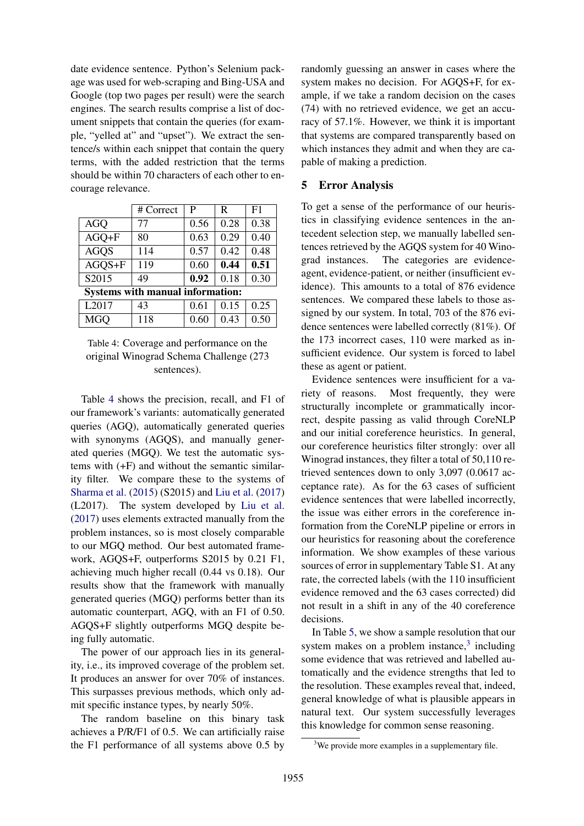date evidence sentence. Python's Selenium package was used for web-scraping and Bing-USA and Google (top two pages per result) were the search engines. The search results comprise a list of document snippets that contain the queries (for example, "yelled at" and "upset"). We extract the sentence/s within each snippet that contain the query terms, with the added restriction that the terms should be within 70 characters of each other to encourage relevance.

<span id="page-6-0"></span>

|                                         | # Correct | P    | R    | F1   |
|-----------------------------------------|-----------|------|------|------|
| <b>AGQ</b>                              | 77        | 0.56 | 0.28 | 0.38 |
| $AGQ + F$                               | 80        | 0.63 | 0.29 | 0.40 |
| <b>AGOS</b>                             | 114       | 0.57 | 0.42 | 0.48 |
| $AGOS + F$                              | 119       | 0.60 | 0.44 | 0.51 |
| S2015                                   | 49        | 0.92 | 0.18 | 0.30 |
| <b>Systems with manual information:</b> |           |      |      |      |
| L2017                                   | 43        | 0.61 | 0.15 | 0.25 |
| <b>MGQ</b>                              | 118       | 0.60 | 0.43 | 0.50 |

Table 4: Coverage and performance on the original Winograd Schema Challenge (273 sentences).

Table [4](#page-6-0) shows the precision, recall, and F1 of our framework's variants: automatically generated queries (AGQ), automatically generated queries with synonyms (AGQS), and manually generated queries (MGQ). We test the automatic systems with (+F) and without the semantic similarity filter. We compare these to the systems of [Sharma et al.](#page-9-1) [\(2015\)](#page-9-1) (S2015) and [Liu et al.](#page-9-14) [\(2017\)](#page-9-14) (L2017). The system developed by [Liu et al.](#page-9-14) [\(2017\)](#page-9-14) uses elements extracted manually from the problem instances, so is most closely comparable to our MGQ method. Our best automated framework, AGQS+F, outperforms S2015 by 0.21 F1, achieving much higher recall (0.44 vs 0.18). Our results show that the framework with manually generated queries (MGQ) performs better than its automatic counterpart, AGQ, with an F1 of 0.50. AGQS+F slightly outperforms MGQ despite being fully automatic.

The power of our approach lies in its generality, i.e., its improved coverage of the problem set. It produces an answer for over 70% of instances. This surpasses previous methods, which only admit specific instance types, by nearly 50%.

The random baseline on this binary task achieves a P/R/F1 of 0.5. We can artificially raise the F1 performance of all systems above 0.5 by randomly guessing an answer in cases where the system makes no decision. For AGOS+F, for example, if we take a random decision on the cases (74) with no retrieved evidence, we get an accuracy of 57.1%. However, we think it is important that systems are compared transparently based on which instances they admit and when they are capable of making a prediction.

### 5 Error Analysis

To get a sense of the performance of our heuristics in classifying evidence sentences in the antecedent selection step, we manually labelled sentences retrieved by the AGQS system for 40 Winograd instances. The categories are evidenceagent, evidence-patient, or neither (insufficient evidence). This amounts to a total of 876 evidence sentences. We compared these labels to those assigned by our system. In total, 703 of the 876 evidence sentences were labelled correctly (81%). Of the 173 incorrect cases, 110 were marked as insufficient evidence. Our system is forced to label these as agent or patient.

Evidence sentences were insufficient for a variety of reasons. Most frequently, they were structurally incomplete or grammatically incorrect, despite passing as valid through CoreNLP and our initial coreference heuristics. In general, our coreference heuristics filter strongly: over all Winograd instances, they filter a total of 50,110 retrieved sentences down to only 3,097 (0.0617 acceptance rate). As for the 63 cases of sufficient evidence sentences that were labelled incorrectly, the issue was either errors in the coreference information from the CoreNLP pipeline or errors in our heuristics for reasoning about the coreference information. We show examples of these various sources of error in supplementary Table S1. At any rate, the corrected labels (with the 110 insufficient evidence removed and the 63 cases corrected) did not result in a shift in any of the 40 coreference decisions.

In Table [5,](#page-7-0) we show a sample resolution that our system makes on a problem instance, $3$  including some evidence that was retrieved and labelled automatically and the evidence strengths that led to the resolution. These examples reveal that, indeed, general knowledge of what is plausible appears in natural text. Our system successfully leverages this knowledge for common sense reasoning.

<span id="page-6-1"></span><sup>&</sup>lt;sup>3</sup>We provide more examples in a supplementary file.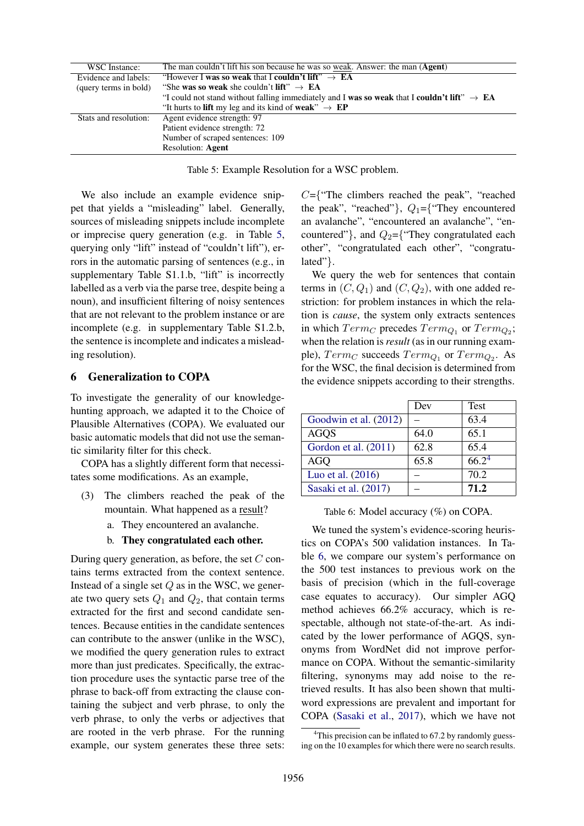<span id="page-7-0"></span>

| WSC Instance:         | The man couldn't lift his son because he was so weak. Answer: the man (Agent)                           |
|-----------------------|---------------------------------------------------------------------------------------------------------|
| Evidence and labels:  | "However I was so weak that I couldn't lift" $\rightarrow$ EA                                           |
| (query terms in bold) | "She was so weak she couldn't lift" $\rightarrow$ EA                                                    |
|                       | "I could not stand without falling immediately and I was so weak that I couldn't lift" $\rightarrow$ EA |
|                       | "It hurts to lift my leg and its kind of weak" $\rightarrow$ EP                                         |
| Stats and resolution: | Agent evidence strength: 97                                                                             |
|                       | Patient evidence strength: 72                                                                           |
|                       | Number of scraped sentences: 109                                                                        |
|                       | <b>Resolution: Agent</b>                                                                                |

Table 5: Example Resolution for a WSC problem.

We also include an example evidence snippet that yields a "misleading" label. Generally, sources of misleading snippets include incomplete or imprecise query generation (e.g. in Table [5,](#page-7-0) querying only "lift" instead of "couldn't lift"), errors in the automatic parsing of sentences (e.g., in supplementary Table S1.1.b, "lift" is incorrectly labelled as a verb via the parse tree, despite being a noun), and insufficient filtering of noisy sentences that are not relevant to the problem instance or are incomplete (e.g. in supplementary Table S1.2.b, the sentence is incomplete and indicates a misleading resolution).

#### 6 Generalization to COPA

To investigate the generality of our knowledgehunting approach, we adapted it to the Choice of Plausible Alternatives (COPA). We evaluated our basic automatic models that did not use the semantic similarity filter for this check.

COPA has a slightly different form that necessitates some modifications. As an example,

- (3) The climbers reached the peak of the mountain. What happened as a result?
	- a. They encountered an avalanche.

#### b. They congratulated each other.

During query generation, as before, the set  $C$  contains terms extracted from the context sentence. Instead of a single set  $Q$  as in the WSC, we generate two query sets  $Q_1$  and  $Q_2$ , that contain terms extracted for the first and second candidate sentences. Because entities in the candidate sentences can contribute to the answer (unlike in the WSC), we modified the query generation rules to extract more than just predicates. Specifically, the extraction procedure uses the syntactic parse tree of the phrase to back-off from extracting the clause containing the subject and verb phrase, to only the verb phrase, to only the verbs or adjectives that are rooted in the verb phrase. For the running example, our system generates these three sets:

 $C=\{$  The climbers reached the peak", "reached" the peak", "reached"},  $Q_1 = \{$ "They encountered an avalanche", "encountered an avalanche", "encountered"}, and  $Q_2$ ={"They congratulated each other", "congratulated each other", "congratulated"}.

We query the web for sentences that contain terms in  $(C, Q_1)$  and  $(C, Q_2)$ , with one added restriction: for problem instances in which the relation is *cause*, the system only extracts sentences in which  $Term_C$  precedes  $Term_{Q_1}$  or  $Term_{Q_2}$ ; when the relation is *result* (as in our running example),  $Term_C$  succeeds  $Term_{Q_1}$  or  $Term_{Q_2}$ . As for the WSC, the final decision is determined from the evidence snippets according to their strengths.

<span id="page-7-2"></span>

|                       | Dev  | <b>Test</b>       |
|-----------------------|------|-------------------|
| Goodwin et al. (2012) |      | 63.4              |
| <b>AGOS</b>           | 64.0 | 65.1              |
| Gordon et al. (2011)  | 62.8 | 65.4              |
| <b>AGO</b>            | 65.8 | 66.2 <sup>4</sup> |
| Luo et al. (2016)     |      | 70.2              |
| Sasaki et al. (2017)  |      | 71.2              |

Table 6: Model accuracy (%) on COPA.

We tuned the system's evidence-scoring heuristics on COPA's 500 validation instances. In Table [6,](#page-7-2) we compare our system's performance on the 500 test instances to previous work on the basis of precision (which in the full-coverage case equates to accuracy). Our simpler AGQ method achieves 66.2% accuracy, which is respectable, although not state-of-the-art. As indicated by the lower performance of AGQS, synonyms from WordNet did not improve performance on COPA. Without the semantic-similarity filtering, synonyms may add noise to the retrieved results. It has also been shown that multiword expressions are prevalent and important for COPA [\(Sasaki et al.,](#page-9-10) [2017\)](#page-9-10), which we have not

<span id="page-7-1"></span><sup>&</sup>lt;sup>4</sup>This precision can be inflated to  $67.2$  by randomly guessing on the 10 examples for which there were no search results.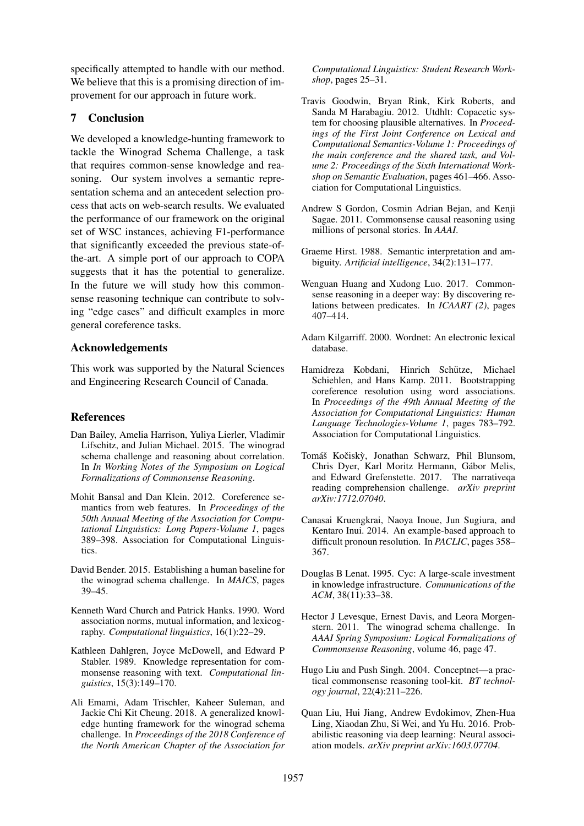specifically attempted to handle with our method. We believe that this is a promising direction of improvement for our approach in future work.

## 7 Conclusion

We developed a knowledge-hunting framework to tackle the Winograd Schema Challenge, a task that requires common-sense knowledge and reasoning. Our system involves a semantic representation schema and an antecedent selection process that acts on web-search results. We evaluated the performance of our framework on the original set of WSC instances, achieving F1-performance that significantly exceeded the previous state-ofthe-art. A simple port of our approach to COPA suggests that it has the potential to generalize. In the future we will study how this commonsense reasoning technique can contribute to solving "edge cases" and difficult examples in more general coreference tasks.

## Acknowledgements

This work was supported by the Natural Sciences and Engineering Research Council of Canada.

## References

- <span id="page-8-4"></span>Dan Bailey, Amelia Harrison, Yuliya Lierler, Vladimir Lifschitz, and Julian Michael. 2015. The winograd schema challenge and reasoning about correlation. In *In Working Notes of the Symposium on Logical Formalizations of Commonsense Reasoning*.
- <span id="page-8-10"></span>Mohit Bansal and Dan Klein. 2012. Coreference semantics from web features. In *Proceedings of the 50th Annual Meeting of the Association for Computational Linguistics: Long Papers-Volume 1*, pages 389–398. Association for Computational Linguistics.
- <span id="page-8-3"></span>David Bender. 2015. Establishing a human baseline for the winograd schema challenge. In *MAICS*, pages 39–45.
- <span id="page-8-13"></span>Kenneth Ward Church and Patrick Hanks. 1990. Word association norms, mutual information, and lexicography. *Computational linguistics*, 16(1):22–29.
- <span id="page-8-0"></span>Kathleen Dahlgren, Joyce McDowell, and Edward P Stabler. 1989. Knowledge representation for commonsense reasoning with text. *Computational linguistics*, 15(3):149–170.
- <span id="page-8-15"></span>Ali Emami, Adam Trischler, Kaheer Suleman, and Jackie Chi Kit Cheung. 2018. A generalized knowledge hunting framework for the winograd schema challenge. In *Proceedings of the 2018 Conference of the North American Chapter of the Association for*

*Computational Linguistics: Student Research Workshop*, pages 25–31.

- <span id="page-8-17"></span>Travis Goodwin, Bryan Rink, Kirk Roberts, and Sanda M Harabagiu. 2012. Utdhlt: Copacetic system for choosing plausible alternatives. In *Proceedings of the First Joint Conference on Lexical and Computational Semantics-Volume 1: Proceedings of the main conference and the shared task, and Volume 2: Proceedings of the Sixth International Workshop on Semantic Evaluation*, pages 461–466. Association for Computational Linguistics.
- <span id="page-8-14"></span>Andrew S Gordon, Cosmin Adrian Bejan, and Kenji Sagae. 2011. Commonsense causal reasoning using millions of personal stories. In *AAAI*.
- <span id="page-8-2"></span>Graeme Hirst. 1988. Semantic interpretation and ambiguity. *Artificial intelligence*, 34(2):131–177.
- <span id="page-8-11"></span>Wenguan Huang and Xudong Luo. 2017. Commonsense reasoning in a deeper way: By discovering relations between predicates. In *ICAART (2)*, pages 407–414.
- <span id="page-8-16"></span>Adam Kilgarriff. 2000. Wordnet: An electronic lexical database.
- <span id="page-8-9"></span>Hamidreza Kobdani, Hinrich Schutze, Michael ¨ Schiehlen, and Hans Kamp. 2011. Bootstrapping coreference resolution using word associations. In *Proceedings of the 49th Annual Meeting of the Association for Computational Linguistics: Human Language Technologies-Volume 1*, pages 783–792. Association for Computational Linguistics.
- <span id="page-8-12"></span>Tomáš Kočiskỳ, Jonathan Schwarz, Phil Blunsom, Chris Dyer, Karl Moritz Hermann, Gabor Melis, ´ and Edward Grefenstette. 2017. The narrativeqa reading comprehension challenge. *arXiv preprint arXiv:1712.07040*.
- <span id="page-8-6"></span>Canasai Kruengkrai, Naoya Inoue, Jun Sugiura, and Kentaro Inui. 2014. An example-based approach to difficult pronoun resolution. In *PACLIC*, pages 358– 367.
- <span id="page-8-7"></span>Douglas B Lenat. 1995. Cyc: A large-scale investment in knowledge infrastructure. *Communications of the ACM*, 38(11):33–38.
- <span id="page-8-1"></span>Hector J Levesque, Ernest Davis, and Leora Morgenstern. 2011. The winograd schema challenge. In *AAAI Spring Symposium: Logical Formalizations of Commonsense Reasoning*, volume 46, page 47.
- <span id="page-8-8"></span>Hugo Liu and Push Singh. 2004. Conceptnet—a practical commonsense reasoning tool-kit. *BT technology journal*, 22(4):211–226.
- <span id="page-8-5"></span>Quan Liu, Hui Jiang, Andrew Evdokimov, Zhen-Hua Ling, Xiaodan Zhu, Si Wei, and Yu Hu. 2016. Probabilistic reasoning via deep learning: Neural association models. *arXiv preprint arXiv:1603.07704*.